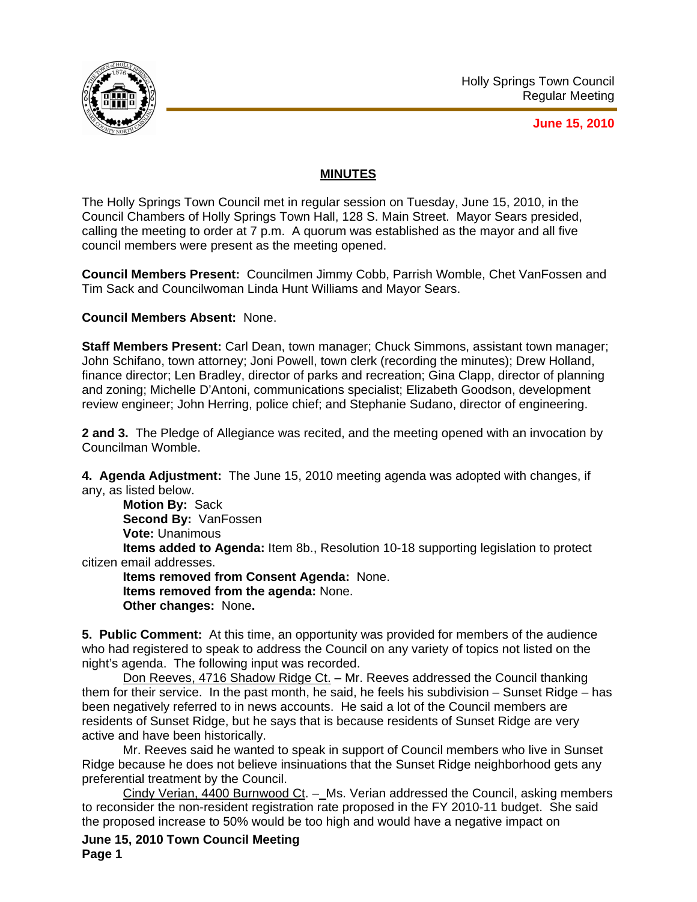

**June 15, 2010**

# **MINUTES**

The Holly Springs Town Council met in regular session on Tuesday, June 15, 2010, in the Council Chambers of Holly Springs Town Hall, 128 S. Main Street. Mayor Sears presided, calling the meeting to order at 7 p.m. A quorum was established as the mayor and all five council members were present as the meeting opened.

**Council Members Present:** Councilmen Jimmy Cobb, Parrish Womble, Chet VanFossen and Tim Sack and Councilwoman Linda Hunt Williams and Mayor Sears.

**Council Members Absent:** None.

**Staff Members Present:** Carl Dean, town manager; Chuck Simmons, assistant town manager; John Schifano, town attorney; Joni Powell, town clerk (recording the minutes); Drew Holland, finance director; Len Bradley, director of parks and recreation; Gina Clapp, director of planning and zoning; Michelle D'Antoni, communications specialist; Elizabeth Goodson, development review engineer; John Herring, police chief; and Stephanie Sudano, director of engineering.

**2 and 3.** The Pledge of Allegiance was recited, and the meeting opened with an invocation by Councilman Womble.

**4. Agenda Adjustment:** The June 15, 2010 meeting agenda was adopted with changes, if any, as listed below.

**Motion By:** Sack **Second By:** VanFossen **Vote:** Unanimous **Items added to Agenda:** Item 8b., Resolution 10-18 supporting legislation to protect citizen email addresses.

**Items removed from Consent Agenda:** None. **Items removed from the agenda:** None. **Other changes:** None**.** 

**5. Public Comment:** At this time, an opportunity was provided for members of the audience who had registered to speak to address the Council on any variety of topics not listed on the night's agenda. The following input was recorded.

Don Reeves, 4716 Shadow Ridge Ct. – Mr. Reeves addressed the Council thanking them for their service. In the past month, he said, he feels his subdivision – Sunset Ridge – has been negatively referred to in news accounts. He said a lot of the Council members are residents of Sunset Ridge, but he says that is because residents of Sunset Ridge are very active and have been historically.

Mr. Reeves said he wanted to speak in support of Council members who live in Sunset Ridge because he does not believe insinuations that the Sunset Ridge neighborhood gets any preferential treatment by the Council.

Cindy Verian, 4400 Burnwood Ct. -\_Ms. Verian addressed the Council, asking members to reconsider the non-resident registration rate proposed in the FY 2010-11 budget. She said the proposed increase to 50% would be too high and would have a negative impact on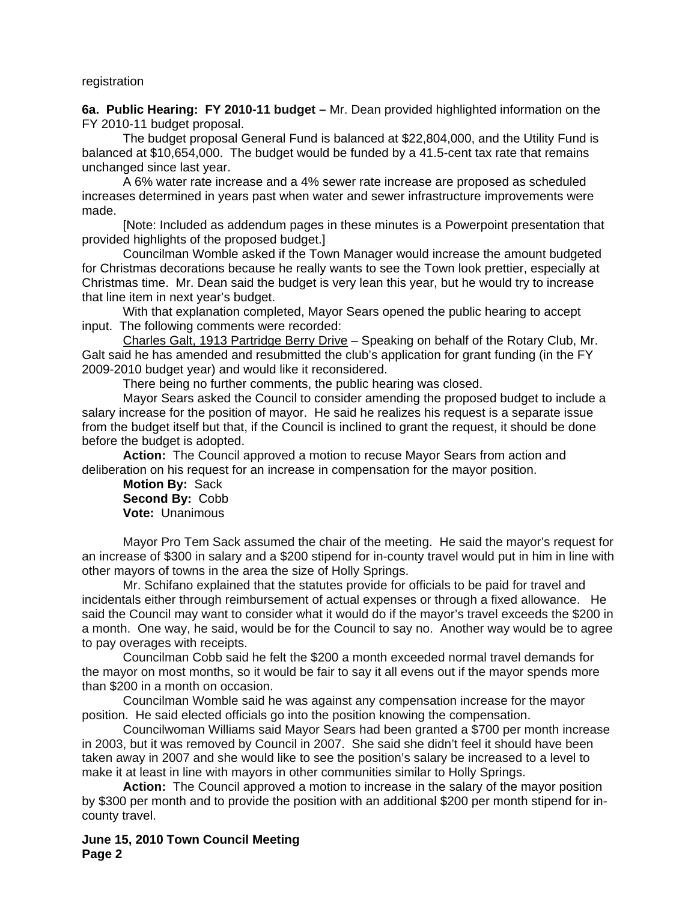#### registration

**6a. Public Hearing: FY 2010-11 budget –** Mr. Dean provided highlighted information on the FY 2010-11 budget proposal.

The budget proposal General Fund is balanced at \$22,804,000, and the Utility Fund is balanced at \$10,654,000. The budget would be funded by a 41.5-cent tax rate that remains unchanged since last year.

A 6% water rate increase and a 4% sewer rate increase are proposed as scheduled increases determined in years past when water and sewer infrastructure improvements were made.

[Note: Included as addendum pages in these minutes is a Powerpoint presentation that provided highlights of the proposed budget.]

Councilman Womble asked if the Town Manager would increase the amount budgeted for Christmas decorations because he really wants to see the Town look prettier, especially at Christmas time. Mr. Dean said the budget is very lean this year, but he would try to increase that line item in next year's budget.

With that explanation completed, Mayor Sears opened the public hearing to accept input. The following comments were recorded:

Charles Galt, 1913 Partridge Berry Drive – Speaking on behalf of the Rotary Club, Mr. Galt said he has amended and resubmitted the club's application for grant funding (in the FY 2009-2010 budget year) and would like it reconsidered.

There being no further comments, the public hearing was closed.

Mayor Sears asked the Council to consider amending the proposed budget to include a salary increase for the position of mayor. He said he realizes his request is a separate issue from the budget itself but that, if the Council is inclined to grant the request, it should be done before the budget is adopted.

**Action:** The Council approved a motion to recuse Mayor Sears from action and deliberation on his request for an increase in compensation for the mayor position.

**Motion By:** Sack **Second By:** Cobb **Vote:** Unanimous

Mayor Pro Tem Sack assumed the chair of the meeting. He said the mayor's request for an increase of \$300 in salary and a \$200 stipend for in-county travel would put in him in line with other mayors of towns in the area the size of Holly Springs.

Mr. Schifano explained that the statutes provide for officials to be paid for travel and incidentals either through reimbursement of actual expenses or through a fixed allowance. He said the Council may want to consider what it would do if the mayor's travel exceeds the \$200 in a month. One way, he said, would be for the Council to say no. Another way would be to agree to pay overages with receipts.

Councilman Cobb said he felt the \$200 a month exceeded normal travel demands for the mayor on most months, so it would be fair to say it all evens out if the mayor spends more than \$200 in a month on occasion.

Councilman Womble said he was against any compensation increase for the mayor position. He said elected officials go into the position knowing the compensation.

Councilwoman Williams said Mayor Sears had been granted a \$700 per month increase in 2003, but it was removed by Council in 2007. She said she didn't feel it should have been taken away in 2007 and she would like to see the position's salary be increased to a level to make it at least in line with mayors in other communities similar to Holly Springs.

**Action:** The Council approved a motion to increase in the salary of the mayor position by \$300 per month and to provide the position with an additional \$200 per month stipend for incounty travel.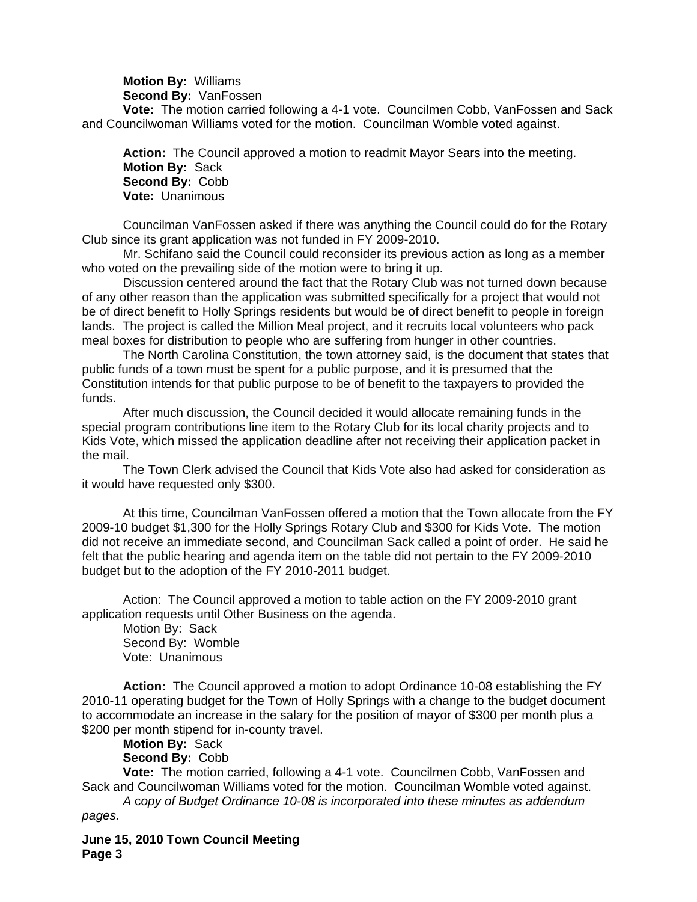**Motion By:** Williams **Second By:** VanFossen

**Vote:** The motion carried following a 4-1 vote. Councilmen Cobb, VanFossen and Sack and Councilwoman Williams voted for the motion. Councilman Womble voted against.

**Action:** The Council approved a motion to readmit Mayor Sears into the meeting. **Motion By:** Sack **Second By:** Cobb **Vote:** Unanimous

Councilman VanFossen asked if there was anything the Council could do for the Rotary Club since its grant application was not funded in FY 2009-2010.

Mr. Schifano said the Council could reconsider its previous action as long as a member who voted on the prevailing side of the motion were to bring it up.

Discussion centered around the fact that the Rotary Club was not turned down because of any other reason than the application was submitted specifically for a project that would not be of direct benefit to Holly Springs residents but would be of direct benefit to people in foreign lands. The project is called the Million Meal project, and it recruits local volunteers who pack meal boxes for distribution to people who are suffering from hunger in other countries.

The North Carolina Constitution, the town attorney said, is the document that states that public funds of a town must be spent for a public purpose, and it is presumed that the Constitution intends for that public purpose to be of benefit to the taxpayers to provided the funds.

After much discussion, the Council decided it would allocate remaining funds in the special program contributions line item to the Rotary Club for its local charity projects and to Kids Vote, which missed the application deadline after not receiving their application packet in the mail.

The Town Clerk advised the Council that Kids Vote also had asked for consideration as it would have requested only \$300.

At this time, Councilman VanFossen offered a motion that the Town allocate from the FY 2009-10 budget \$1,300 for the Holly Springs Rotary Club and \$300 for Kids Vote. The motion did not receive an immediate second, and Councilman Sack called a point of order. He said he felt that the public hearing and agenda item on the table did not pertain to the FY 2009-2010 budget but to the adoption of the FY 2010-2011 budget.

Action: The Council approved a motion to table action on the FY 2009-2010 grant application requests until Other Business on the agenda.

Motion By: Sack Second By: Womble Vote: Unanimous

**Action:** The Council approved a motion to adopt Ordinance 10-08 establishing the FY 2010-11 operating budget for the Town of Holly Springs with a change to the budget document to accommodate an increase in the salary for the position of mayor of \$300 per month plus a \$200 per month stipend for in-county travel.

### **Motion By:** Sack **Second By:** Cobb

**Vote:** The motion carried, following a 4-1 vote. Councilmen Cobb, VanFossen and Sack and Councilwoman Williams voted for the motion. Councilman Womble voted against.

*A* c*opy of Budget Ordinance 10-08 is incorporated into these minutes as addendum pages.*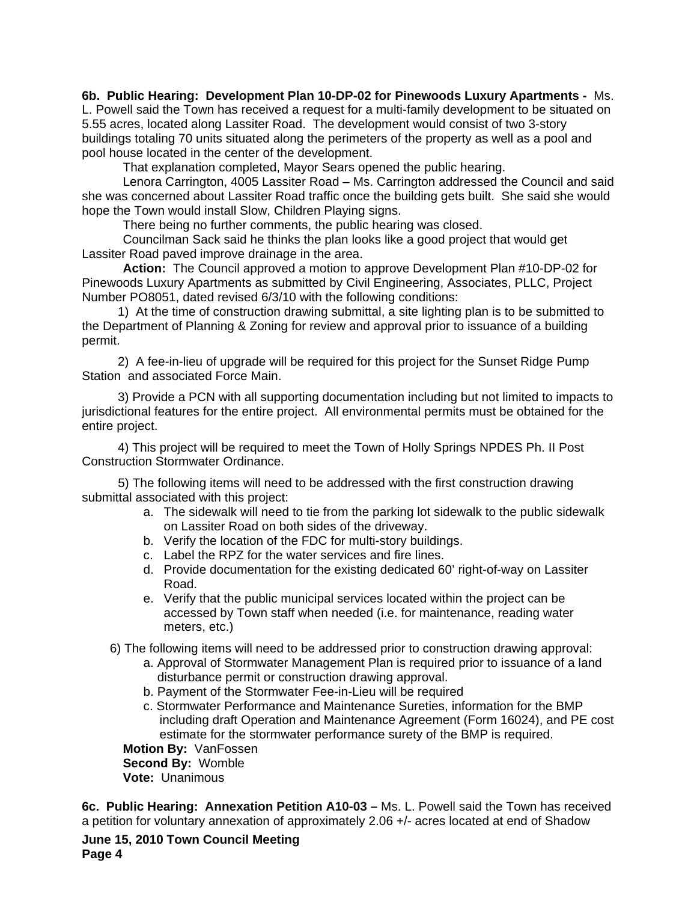**6b. Public Hearing: Development Plan 10-DP-02 for Pinewoods Luxury Apartments -** Ms. L. Powell said the Town has received a request for a multi-family development to be situated on 5.55 acres, located along Lassiter Road. The development would consist of two 3-story buildings totaling 70 units situated along the perimeters of the property as well as a pool and pool house located in the center of the development.

That explanation completed, Mayor Sears opened the public hearing.

Lenora Carrington, 4005 Lassiter Road – Ms. Carrington addressed the Council and said she was concerned about Lassiter Road traffic once the building gets built. She said she would hope the Town would install Slow, Children Playing signs.

There being no further comments, the public hearing was closed.

 Councilman Sack said he thinks the plan looks like a good project that would get Lassiter Road paved improve drainage in the area.

**Action:** The Council approved a motion to approve Development Plan #10-DP-02 for Pinewoods Luxury Apartments as submitted by Civil Engineering, Associates, PLLC, Project Number PO8051, dated revised 6/3/10 with the following conditions:

1) At the time of construction drawing submittal, a site lighting plan is to be submitted to the Department of Planning & Zoning for review and approval prior to issuance of a building permit.

2) A fee-in-lieu of upgrade will be required for this project for the Sunset Ridge Pump Station and associated Force Main.

3) Provide a PCN with all supporting documentation including but not limited to impacts to jurisdictional features for the entire project. All environmental permits must be obtained for the entire project.

4) This project will be required to meet the Town of Holly Springs NPDES Ph. II Post Construction Stormwater Ordinance.

5) The following items will need to be addressed with the first construction drawing submittal associated with this project:

- a. The sidewalk will need to tie from the parking lot sidewalk to the public sidewalk on Lassiter Road on both sides of the driveway.
- b. Verify the location of the FDC for multi-story buildings.
- c. Label the RPZ for the water services and fire lines.
- d. Provide documentation for the existing dedicated 60' right-of-way on Lassiter Road.
- e. Verify that the public municipal services located within the project can be accessed by Town staff when needed (i.e. for maintenance, reading water meters, etc.)
- 6) The following items will need to be addressed prior to construction drawing approval:
	- a. Approval of Stormwater Management Plan is required prior to issuance of a land disturbance permit or construction drawing approval.
	- b. Payment of the Stormwater Fee-in-Lieu will be required
	- c. Stormwater Performance and Maintenance Sureties, information for the BMP including draft Operation and Maintenance Agreement (Form 16024), and PE cost estimate for the stormwater performance surety of the BMP is required.

**Motion By:** VanFossen **Second By:** Womble **Vote:** Unanimous

**6c. Public Hearing: Annexation Petition A10-03 –** Ms. L. Powell said the Town has received a petition for voluntary annexation of approximately 2.06 +/- acres located at end of Shadow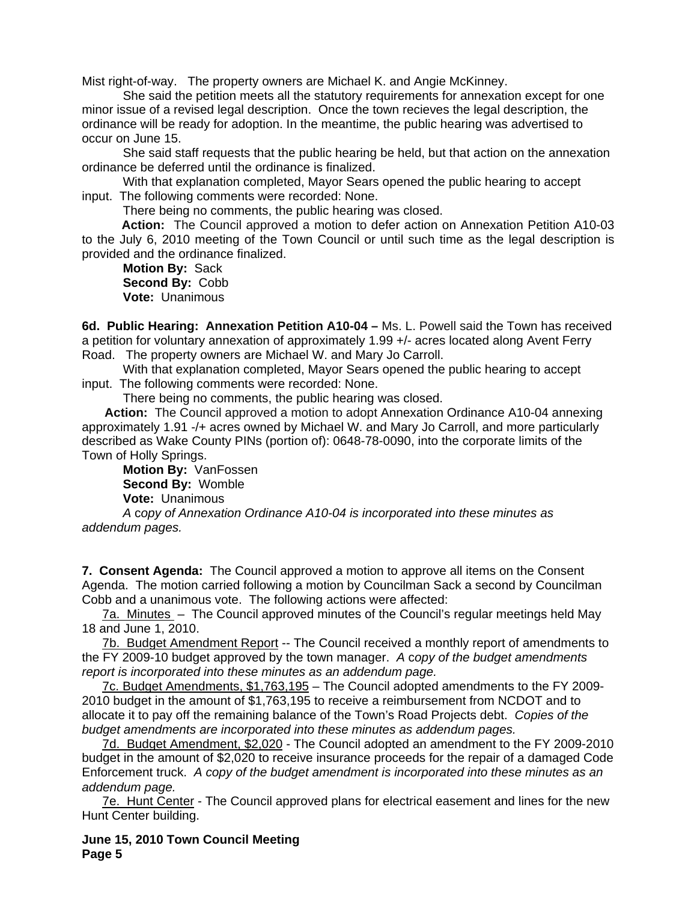Mist right-of-way. The property owners are Michael K. and Angie McKinney.

She said the petition meets all the statutory requirements for annexation except for one minor issue of a revised legal description. Once the town recieves the legal description, the ordinance will be ready for adoption. In the meantime, the public hearing was advertised to occur on June 15.

She said staff requests that the public hearing be held, but that action on the annexation ordinance be deferred until the ordinance is finalized.

 With that explanation completed, Mayor Sears opened the public hearing to accept input. The following comments were recorded: None.

There being no comments, the public hearing was closed.

 **Action:** The Council approved a motion to defer action on Annexation Petition A10-03 to the July 6, 2010 meeting of the Town Council or until such time as the legal description is provided and the ordinance finalized.

**Motion By:** Sack **Second By:** Cobb **Vote:** Unanimous

**6d. Public Hearing: Annexation Petition A10-04 –** Ms. L. Powell said the Town has received a petition for voluntary annexation of approximately 1.99 +/- acres located along Avent Ferry Road. The property owners are Michael W. and Mary Jo Carroll.

With that explanation completed, Mayor Sears opened the public hearing to accept input. The following comments were recorded: None.

There being no comments, the public hearing was closed.

 **Action:** The Council approved a motion to adopt Annexation Ordinance A10-04 annexing approximately 1.91 -/+ acres owned by Michael W. and Mary Jo Carroll, and more particularly described as Wake County PINs (portion of): 0648-78-0090, into the corporate limits of the Town of Holly Springs.

**Motion By:** VanFossen **Second By:** Womble **Vote:** Unanimous

*A* c*opy of Annexation Ordinance A10-04 is incorporated into these minutes as addendum pages.*

**7. Consent Agenda:** The Council approved a motion to approve all items on the Consent Agenda. The motion carried following a motion by Councilman Sack a second by Councilman Cobb and a unanimous vote. The following actions were affected:

7a. Minutes – The Council approved minutes of the Council's regular meetings held May 18 and June 1, 2010.

7b. Budget Amendment Report -- The Council received a monthly report of amendments to the FY 2009-10 budget approved by the town manager.*A* c*opy of the budget amendments report is incorporated into these minutes as an addendum page.*

7c. Budget Amendments, \$1,763,195 – The Council adopted amendments to the FY 2009- 2010 budget in the amount of \$1,763,195 to receive a reimbursement from NCDOT and to allocate it to pay off the remaining balance of the Town's Road Projects debt. *Copies of the budget amendments are incorporated into these minutes as addendum pages.*

7d. Budget Amendment, \$2,020 - The Council adopted an amendment to the FY 2009-2010 budget in the amount of \$2,020 to receive insurance proceeds for the repair of a damaged Code Enforcement truck.*A copy of the budget amendment is incorporated into these minutes as an addendum page.*

7e. Hunt Center - The Council approved plans for electrical easement and lines for the new Hunt Center building.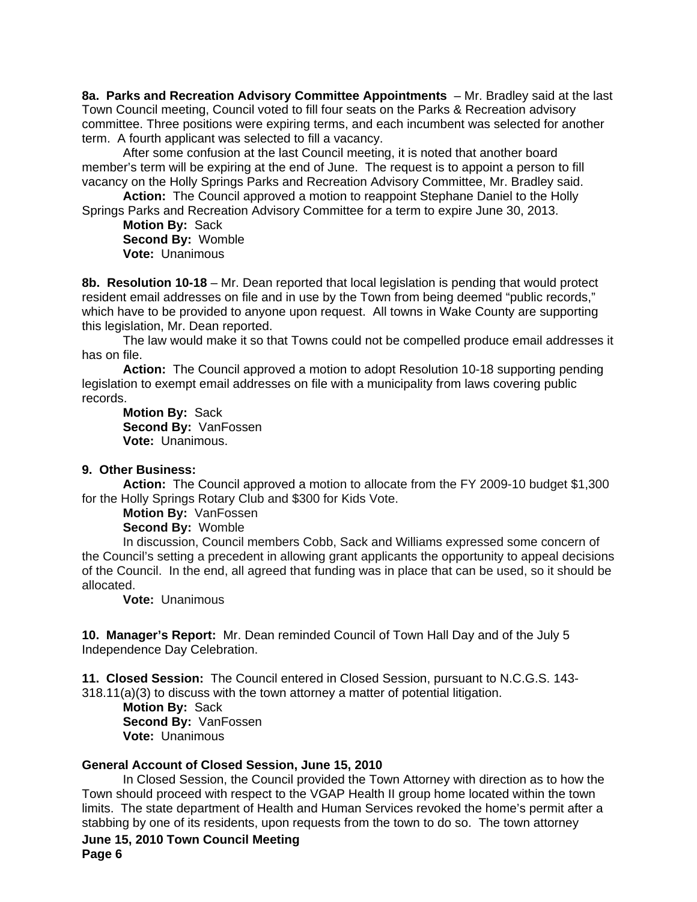**8a. Parks and Recreation Advisory Committee Appointments** – Mr. Bradley said at the last Town Council meeting, Council voted to fill four seats on the Parks & Recreation advisory committee. Three positions were expiring terms, and each incumbent was selected for another term. A fourth applicant was selected to fill a vacancy.

After some confusion at the last Council meeting, it is noted that another board member's term will be expiring at the end of June. The request is to appoint a person to fill vacancy on the Holly Springs Parks and Recreation Advisory Committee, Mr. Bradley said.

**Action:** The Council approved a motion to reappoint Stephane Daniel to the Holly Springs Parks and Recreation Advisory Committee for a term to expire June 30, 2013.

**Motion By:** Sack **Second By:** Womble **Vote:** Unanimous

**8b. Resolution 10-18** – Mr. Dean reported that local legislation is pending that would protect resident email addresses on file and in use by the Town from being deemed "public records," which have to be provided to anyone upon request. All towns in Wake County are supporting this legislation, Mr. Dean reported.

The law would make it so that Towns could not be compelled produce email addresses it has on file.

**Action:** The Council approved a motion to adopt Resolution 10-18 supporting pending legislation to exempt email addresses on file with a municipality from laws covering public records.

**Motion By:** Sack **Second By:** VanFossen **Vote:** Unanimous.

## **9. Other Business:**

**Action:** The Council approved a motion to allocate from the FY 2009-10 budget \$1,300 for the Holly Springs Rotary Club and \$300 for Kids Vote.

**Motion By:** VanFossen

**Second By:** Womble

In discussion, Council members Cobb, Sack and Williams expressed some concern of the Council's setting a precedent in allowing grant applicants the opportunity to appeal decisions of the Council. In the end, all agreed that funding was in place that can be used, so it should be allocated.

**Vote:** Unanimous

**10. Manager's Report:** Mr. Dean reminded Council of Town Hall Day and of the July 5 Independence Day Celebration.

**11. Closed Session:** The Council entered in Closed Session, pursuant to N.C.G.S. 143- 318.11(a)(3) to discuss with the town attorney a matter of potential litigation.

**Motion By:** Sack **Second By:** VanFossen **Vote:** Unanimous

### **General Account of Closed Session, June 15, 2010**

 In Closed Session, the Council provided the Town Attorney with direction as to how the Town should proceed with respect to the VGAP Health II group home located within the town limits. The state department of Health and Human Services revoked the home's permit after a stabbing by one of its residents, upon requests from the town to do so. The town attorney